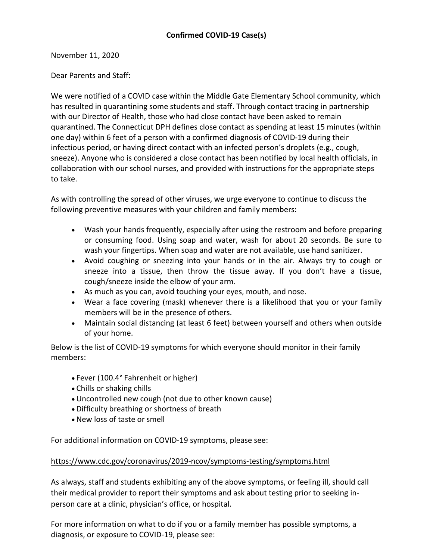November 11, 2020

Dear Parents and Staff:

We were notified of a COVID case within the Middle Gate Elementary School community, which has resulted in quarantining some students and staff. Through contact tracing in partnership with our Director of Health, those who had close contact have been asked to remain quarantined. The Connecticut DPH defines close contact as spending at least 15 minutes (within one day) within 6 feet of a person with a confirmed diagnosis of COVID-19 during their infectious period, or having direct contact with an infected person's droplets (e.g., cough, sneeze). Anyone who is considered a close contact has been notified by local health officials, in collaboration with our school nurses, and provided with instructions for the appropriate steps to take.

As with controlling the spread of other viruses, we urge everyone to continue to discuss the following preventive measures with your children and family members:

- Wash your hands frequently, especially after using the restroom and before preparing or consuming food. Using soap and water, wash for about 20 seconds. Be sure to wash your fingertips. When soap and water are not available, use hand sanitizer.
- Avoid coughing or sneezing into your hands or in the air. Always try to cough or sneeze into a tissue, then throw the tissue away. If you don't have a tissue, cough/sneeze inside the elbow of your arm.
- As much as you can, avoid touching your eyes, mouth, and nose.
- Wear a face covering (mask) whenever there is a likelihood that you or your family members will be in the presence of others.
- Maintain social distancing (at least 6 feet) between yourself and others when outside of your home.

Below is the list of COVID-19 symptoms for which everyone should monitor in their family members:

- Fever (100.4° Fahrenheit or higher)
- Chills or shaking chills
- Uncontrolled new cough (not due to other known cause)
- Difficulty breathing or shortness of breath
- New loss of taste or smell

For additional information on COVID-19 symptoms, please see:

## [https://www.cdc.gov/coronavirus/2019-ncov/symptoms-testing/symptoms.html](http://track.spe.schoolmessenger.com/f/a/w2NvpEl1XshevuYglYq4cw~~/AAAAAQA~/RgRhQj9DP0RIaHR0cHM6Ly93d3cuY2RjLmdvdi9jb3JvbmF2aXJ1cy8yMDE5LW5jb3Yvc3ltcHRvbXMtdGVzdGluZy9zeW1wdG9tcy5odG1sVwdzY2hvb2xtQgoARsMLYV__REyRUhtyb2RyaWd1ZWxAbmV3dG93bi5rMTIuY3QudXNYBAAAAAE~)

As always, staff and students exhibiting any of the above symptoms, or feeling ill, should call their medical provider to report their symptoms and ask about testing prior to seeking inperson care at a clinic, physician's office, or hospital.

For more information on what to do if you or a family member has possible symptoms, a diagnosis, or exposure to COVID-19, please see: